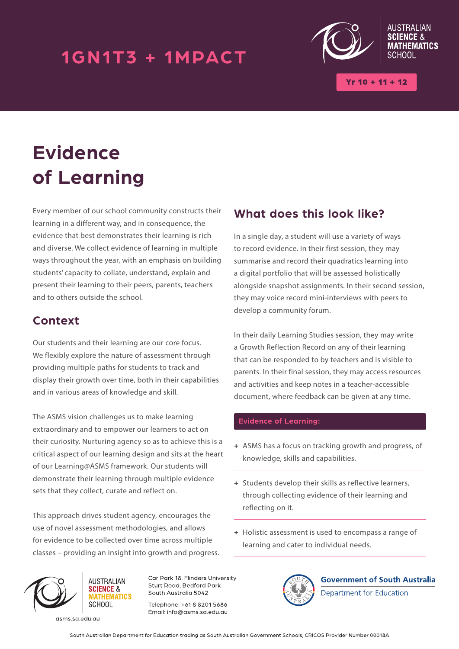## 1GN1T3 + 1MPACT



 $(r 10 + 11 + 12)$ 

# **Evidence of Learning**

Every member of our school community constructs their learning in a different way, and in consequence, the evidence that best demonstrates their learning is rich and diverse. We collect evidence of learning in multiple ways throughout the year, with an emphasis on building students' capacity to collate, understand, explain and present their learning to their peers, parents, teachers and to others outside the school.

### **Context**

Our students and their learning are our core focus. We flexibly explore the nature of assessment through providing multiple paths for students to track and display their growth over time, both in their capabilities and in various areas of knowledge and skill.

The ASMS vision challenges us to make learning extraordinary and to empower our learners to act on their curiosity. Nurturing agency so as to achieve this is a critical aspect of our learning design and sits at the heart of our Learning@ASMS framework. Our students will demonstrate their learning through multiple evidence sets that they collect, curate and reflect on.

This approach drives student agency, encourages the use of novel assessment methodologies, and allows for evidence to be collected over time across multiple classes – providing an insight into growth and progress.



**AUSTRALIAN SCIENCE &** *<u>ATHEMATICS</u>* SCHOOL

asms.sa.edu.au

Car Park 18, Flinders University Sturt Road, Bedford Park South Australia 5042

Telephone: +61.8.8201.5686 Email: info@asms.sa.edu.au

### **What does this look like?**

In a single day, a student will use a variety of ways to record evidence. In their first session, they may summarise and record their quadratics learning into a digital portfolio that will be assessed holistically alongside snapshot assignments. In their second session, they may voice record mini-interviews with peers to develop a community forum.

In their daily Learning Studies session, they may write a Growth Reflection Record on any of their learning that can be responded to by teachers and is visible to parents. In their final session, they may access resources and activities and keep notes in a teacher-accessible document, where feedback can be given at any time.

#### **Evidence of Learning:**

- **+** ASMS has a focus on tracking growth and progress, of knowledge, skills and capabilities.
- **+** Students develop their skills as reflective learners, through collecting evidence of their learning and reflecting on it.
- **+** Holistic assessment is used to encompass a range of learning and cater to individual needs.



**Government of South Australia** Department for Education